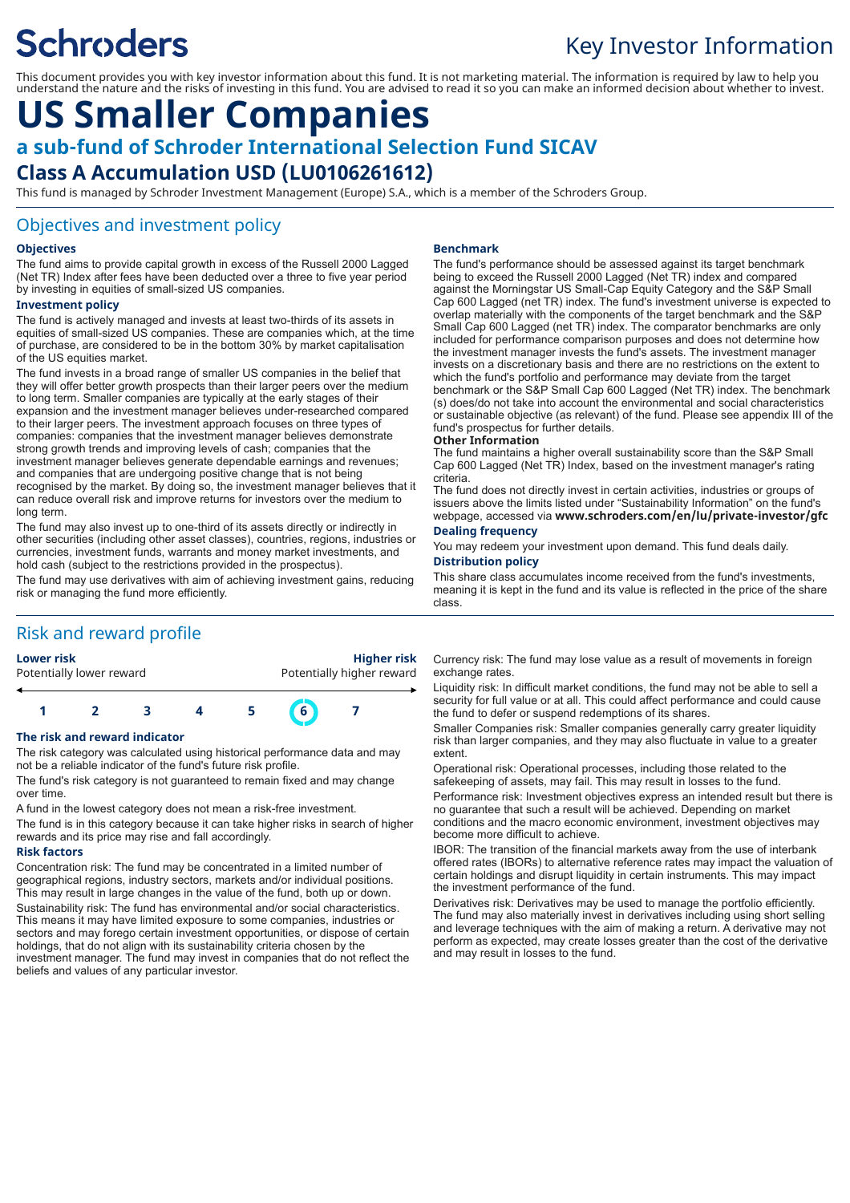# **Schroders**

# Key Investor Information

This document provides you with key investor information about this fund. It is not marketing material. The information is required by law to help you understand the nature and the risks of investing in this fund. You are advised to read it so you can make an informed decision about whether to invest.

# **US Smaller Companies a sub-fund of Schroder International Selection Fund SICAV Class A Accumulation USD (LU0106261612)**

This fund is managed by Schroder Investment Management (Europe) S.A., which is a member of the Schroders Group.

### Objectives and investment policy

#### **Objectives**

The fund aims to provide capital growth in excess of the Russell 2000 Lagged (Net TR) Index after fees have been deducted over a three to five year period by investing in equities of small-sized US companies.

#### **Investment policy**

The fund is actively managed and invests at least two-thirds of its assets in equities of small-sized US companies. These are companies which, at the time of purchase, are considered to be in the bottom 30% by market capitalisation of the US equities market.

The fund invests in a broad range of smaller US companies in the belief that they will offer better growth prospects than their larger peers over the medium to long term. Smaller companies are typically at the early stages of their expansion and the investment manager believes under-researched compared to their larger peers. The investment approach focuses on three types of companies: companies that the investment manager believes demonstrate strong growth trends and improving levels of cash; companies that the investment manager believes generate dependable earnings and revenues; and companies that are undergoing positive change that is not being recognised by the market. By doing so, the investment manager believes that it can reduce overall risk and improve returns for investors over the medium to long term.

The fund may also invest up to one-third of its assets directly or indirectly in other securities (including other asset classes), countries, regions, industries or currencies, investment funds, warrants and money market investments, and hold cash (subject to the restrictions provided in the prospectus). The fund may use derivatives with aim of achieving investment gains, reducing

risk or managing the fund more efficiently.

# Risk and reward profile



#### **The risk and reward indicator**

The risk category was calculated using historical performance data and may not be a reliable indicator of the fund's future risk profile.

The fund's risk category is not guaranteed to remain fixed and may change over time.

A fund in the lowest category does not mean a risk-free investment. The fund is in this category because it can take higher risks in search of higher rewards and its price may rise and fall accordingly.

#### **Risk factors**

Concentration risk: The fund may be concentrated in a limited number of geographical regions, industry sectors, markets and/or individual positions. This may result in large changes in the value of the fund, both up or down. Sustainability risk: The fund has environmental and/or social characteristics. This means it may have limited exposure to some companies, industries or sectors and may forego certain investment opportunities, or dispose of certain holdings, that do not align with its sustainability criteria chosen by the investment manager. The fund may invest in companies that do not reflect the beliefs and values of any particular investor.

#### **Benchmark**

The fund's performance should be assessed against its target benchmark being to exceed the Russell 2000 Lagged (Net TR) index and compared against the Morningstar US Small-Cap Equity Category and the S&P Small Cap 600 Lagged (net TR) index. The fund's investment universe is expected to overlap materially with the components of the target benchmark and the S&P Small Cap 600 Lagged (net TR) index. The comparator benchmarks are only included for performance comparison purposes and does not determine how the investment manager invests the fund's assets. The investment manager invests on a discretionary basis and there are no restrictions on the extent to which the fund's portfolio and performance may deviate from the target benchmark or the S&P Small Cap 600 Lagged (Net TR) index. The benchmark (s) does/do not take into account the environmental and social characteristics or sustainable objective (as relevant) of the fund. Please see appendix III of the fund's prospectus for further details.

#### **Other Information**

The fund maintains a higher overall sustainability score than the S&P Small Cap 600 Lagged (Net TR) Index, based on the investment manager's rating criteria.

The fund does not directly invest in certain activities, industries or groups of issuers above the limits listed under "Sustainability Information" on the fund's webpage, accessed via **www.schroders.com/en/lu/private-investor/gfc**

#### **Dealing frequency**

You may redeem your investment upon demand. This fund deals daily. **Distribution policy**

#### This share class accumulates income received from the fund's investments, meaning it is kept in the fund and its value is reflected in the price of the share class.

Currency risk: The fund may lose value as a result of movements in foreign exchange rates.

Liquidity risk: In difficult market conditions, the fund may not be able to sell a security for full value or at all. This could affect performance and could cause the fund to defer or suspend redemptions of its shares.

Smaller Companies risk: Smaller companies generally carry greater liquidity risk than larger companies, and they may also fluctuate in value to a greater extent.

Operational risk: Operational processes, including those related to the safekeeping of assets, may fail. This may result in losses to the fund.

Performance risk: Investment objectives express an intended result but there is no guarantee that such a result will be achieved. Depending on market conditions and the macro economic environment, investment objectives may become more difficult to achieve.

IBOR: The transition of the financial markets away from the use of interbank offered rates (IBORs) to alternative reference rates may impact the valuation of certain holdings and disrupt liquidity in certain instruments. This may impact the investment performance of the fund.

Derivatives risk: Derivatives may be used to manage the portfolio efficiently. The fund may also materially invest in derivatives including using short selling and leverage techniques with the aim of making a return. A derivative may not perform as expected, may create losses greater than the cost of the derivative and may result in losses to the fund.